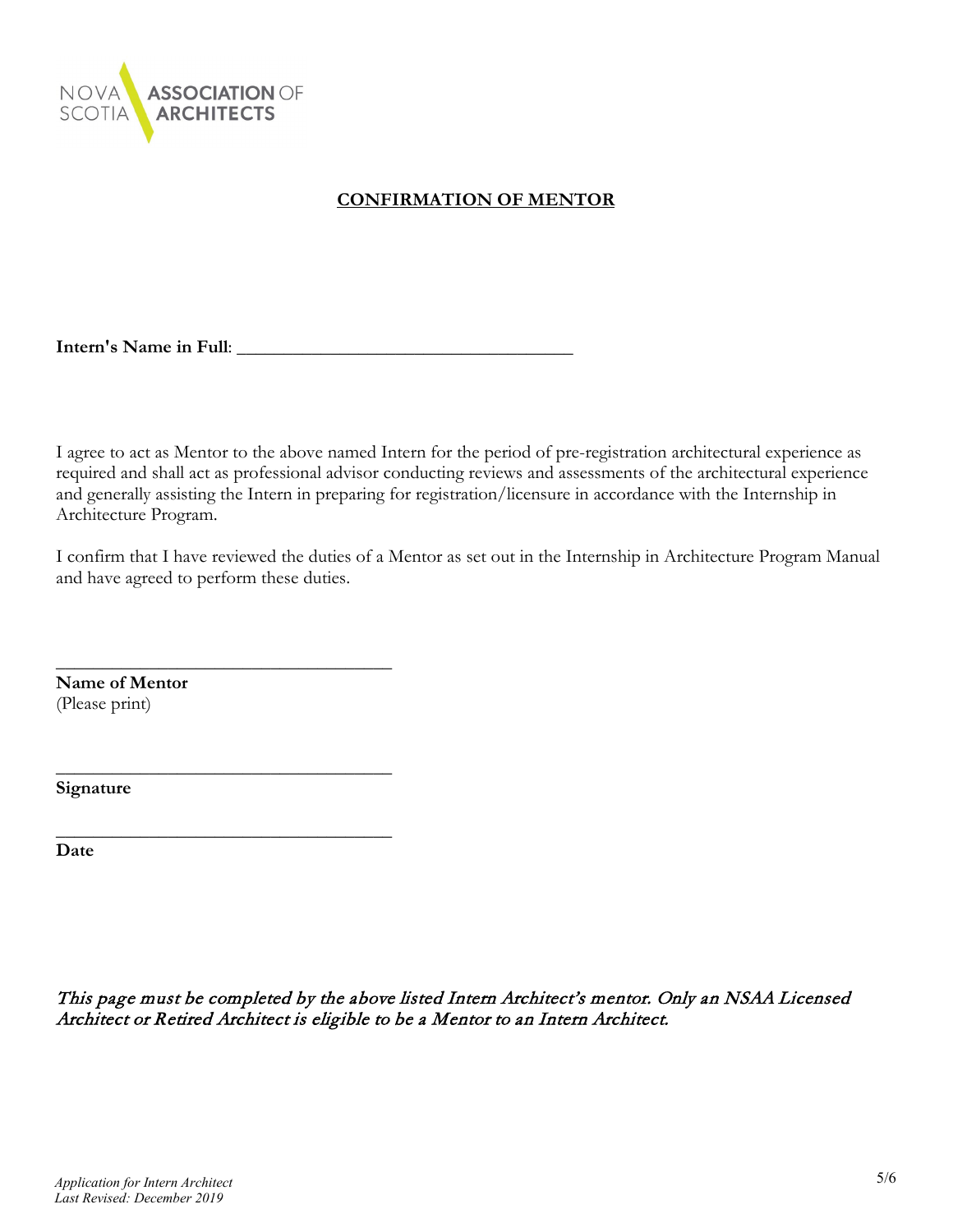

## **CONFIRMATION OF MENTOR**

**Intern's Name in Full**: \_\_\_\_\_\_\_\_\_\_\_\_\_\_\_\_\_\_\_\_\_\_\_\_\_\_\_\_\_\_\_\_\_\_\_\_

I agree to act as Mentor to the above named Intern for the period of pre-registration architectural experience as required and shall act as professional advisor conducting reviews and assessments of the architectural experience and generally assisting the Intern in preparing for registration/licensure in accordance with the Internship in Architecture Program.

I confirm that I have reviewed the duties of a Mentor as set out in the Internship in Architecture Program Manual and have agreed to perform these duties.

**Name of Mentor** (Please print)

\_\_\_\_\_\_\_\_\_\_\_\_\_\_\_\_\_\_\_\_\_\_\_\_\_\_\_\_\_\_\_\_\_\_\_\_

\_\_\_\_\_\_\_\_\_\_\_\_\_\_\_\_\_\_\_\_\_\_\_\_\_\_\_\_\_\_\_\_\_\_\_\_

\_\_\_\_\_\_\_\_\_\_\_\_\_\_\_\_\_\_\_\_\_\_\_\_\_\_\_\_\_\_\_\_\_\_\_\_

**Signature**

**Date**

This page must be completed by the above listed Intern Architect's mentor. Only an NSAA Licensed Architect or Retired Architect is eligible to be a Mentor to an Intern Architect.